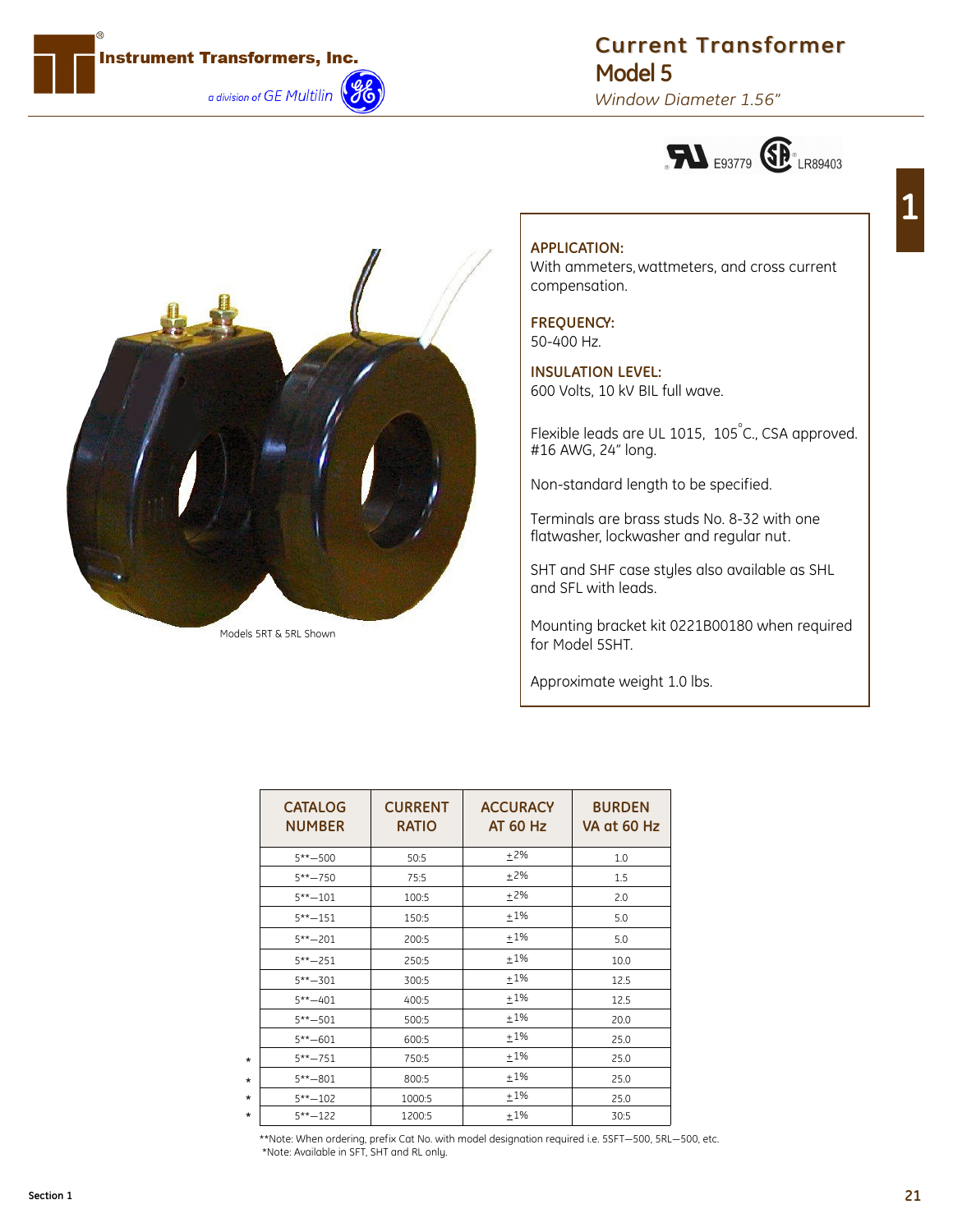

## **Current Transformer Model 5**

*Window Diameter 1.56"*





Models 5RT & 5RL Shown

# **APPLICATION:**

With ammeters, wattmeters, and cross current compensation.

## **FREQUENCY:**

50-400 Hz.

**INSULATION LEVEL:** 600 Volts, 10 kV BIL full wave.

Flexible leads are UL 1015, 105°C., CSA approved. #16 AWG, 24" long.

Non-standard length to be specified.

Terminals are brass studs No. 8-32 with one flatwasher, lockwasher and regular nut.

SHT and SHF case styles also available as SHL and SFL with leads.

Mounting bracket kit 0221B00180 when required for Model 5SHT.

Approximate weight 1.0 lbs.

| <b>CATALOG</b><br><b>NUMBER</b> | <b>CURRENT</b><br><b>RATIO</b> | <b>ACCURACY</b><br><b>AT 60 Hz</b> | <b>BURDEN</b><br>VA at 60 Hz |
|---------------------------------|--------------------------------|------------------------------------|------------------------------|
| $5***-500$                      | 50:5                           | ±2%                                | 1.0                          |
| $5*** - 750$                    | 75:5                           | ±2%                                | 1.5                          |
| $5***-101$                      | 100:5                          | $+2%$                              | 2.0                          |
| $5***-151$                      | 150:5                          | $+1\%$                             | 5.0                          |
| $5*** - 201$                    | 200:5                          | ±1%                                | 5.0                          |
| $5***-251$                      | 250:5                          | ±1%                                | 10.0                         |
| $5*** - 301$                    | 300:5                          | $+1\%$                             | 12.5                         |
| $5***-401$                      | 400:5                          | ±1%                                | 12.5                         |
| $5***-501$                      | 500:5                          | $+1\%$                             | 20.0                         |
| $5***-601$                      | 600:5                          | ±1%                                | 25.0                         |
| $5*** - 751$                    | 750:5                          | $+1\%$                             | 25.0                         |
| $5*** - 801$                    | 800:5                          | ±1%                                | 25.0                         |
| $5***-102$                      | 1000:5                         | $+1\%$                             | 25.0                         |
| $5***-122$                      | 1200:5                         | $+1%$                              | 30:5                         |

\*\*Note: When ordering, prefix Cat No. with model designation required i.e. 5SFT—500, 5RL—500, etc. \*Note: Available in SFT, SHT and RL only.